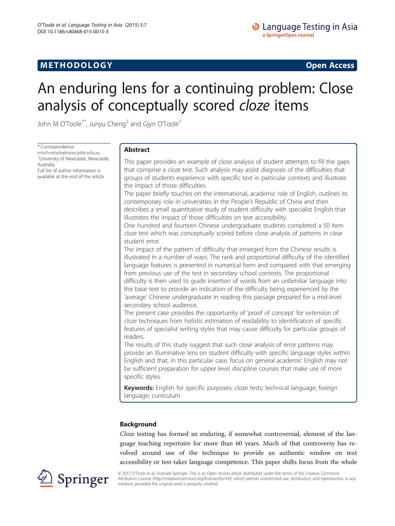# **METHODOLOGY CONSUMING ACCESS**

# An enduring lens for a continuing problem: Close analysis of conceptually scored cloze items

John M O'Toole<sup>1\*</sup>, Junyu Cheng<sup>2</sup> and Gjyn O'Toole<sup>1</sup>

\* Correspondence:

[mitch.otoole@newcastle.edu.au](mailto:mitch.otoole@newcastle.edu.au) <sup>1</sup>University of Newcastle, Newcastle, Australia Full list of author information is available at the end of the article

## Abstract

This paper provides an example of close analysis of student attempts to fill the gaps that comprise a cloze test. Such analysis may assist diagnosis of the difficulties that groups of students experience with specific text in particular contexts and illustrate the impact of those difficulties.

The paper briefly touches on the international, academic role of English, outlines its contemporary role in universities in the People's Republic of China and then describes a small quantitative study of student difficulty with specialist English that illustrates the impact of those difficulties on text accessibility.

One hundred and fourteen Chinese undergraduate students completed a 50 item cloze test which was conceptually scored before close analysis of patterns in clear student error.

The impact of the pattern of difficulty that emerged from the Chinese results is illustrated in a number of ways. The rank and proportional difficulty of the identified language features is presented in numerical form and compared with that emerging from previous use of the test in secondary school contexts. The proportional difficulty is then used to guide insertion of words from an unfamiliar language into the base text to provide an indication of the difficulty being experienced by the 'average' Chinese undergraduate in reading this passage prepared for a mid-level secondary school audience.

The present case provides the opportunity of 'proof of concept' for extension of cloze techniques from holistic estimation of readability to identification of specific features of specialist writing styles that may cause difficulty for particular groups of readers.

The results of this study suggest that such close analysis of error patterns may provide an illuminative lens on student difficulty with specific language styles within English and that, in this particular case, focus on general academic English may not be sufficient preparation for upper level discipline courses that make use of more specific styles.

Keywords: English for specific purposes; cloze tests; technical language; foreign language; curriculum

## Background

Cloze testing has formed an enduring, if somewhat controversial, element of the language teaching repertoire for more than 60 years. Much of that controversy has revolved around use of the technique to provide an authentic window on text accessibility or test-taker language competence. This paper shifts focus from the whole



© 2015 O'Toole et al.; licensee Springer. This is an Open Access article distributed under the terms of the Creative Commons Attribution License [\(http://creativecommons.org/licenses/by/4.0\)](http://creativecommons.org/licenses/by/4.0), which permits unrestricted use, distribution, and reproduction in any medium, provided the original work is properly credited.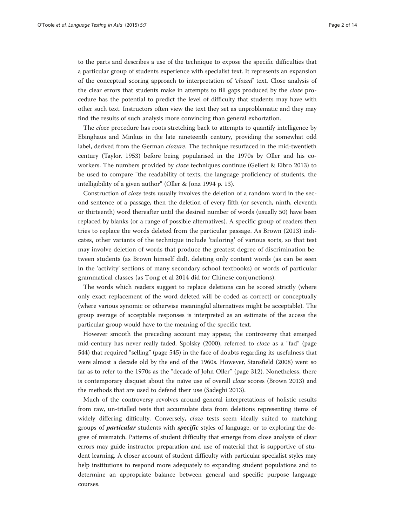to the parts and describes a use of the technique to expose the specific difficulties that a particular group of students experience with specialist text. It represents an expansion of the conceptual scoring approach to interpretation of 'clozed' text. Close analysis of the clear errors that students make in attempts to fill gaps produced by the cloze procedure has the potential to predict the level of difficulty that students may have with other such text. Instructors often view the text they set as unproblematic and they may find the results of such analysis more convincing than general exhortation.

The *cloze* procedure has roots stretching back to attempts to quantify intelligence by Ebinghaus and Minkus in the late nineteenth century, providing the somewhat odd label, derived from the German clozure. The technique resurfaced in the mid-twentieth century (Taylor, [1953\)](#page-13-0) before being popularised in the 1970s by Oller and his coworkers. The numbers provided by *cloze* techniques continue (Gellert & Elbro [2013](#page-12-0)) to be used to compare "the readability of texts, the language proficiency of students, the intelligibility of a given author" (Oller & Jonz [1994](#page-13-0) p. 13).

Construction of cloze tests usually involves the deletion of a random word in the second sentence of a passage, then the deletion of every fifth (or seventh, ninth, eleventh or thirteenth) word thereafter until the desired number of words (usually 50) have been replaced by blanks (or a range of possible alternatives). A specific group of readers then tries to replace the words deleted from the particular passage. As Brown ([2013](#page-12-0)) indicates, other variants of the technique include 'tailoring' of various sorts, so that test may involve deletion of words that produce the greatest degree of discrimination between students (as Brown himself did), deleting only content words (as can be seen in the 'activity' sections of many secondary school textbooks) or words of particular grammatical classes (as Tong et al [2014](#page-13-0) did for Chinese conjunctions).

The words which readers suggest to replace deletions can be scored strictly (where only exact replacement of the word deleted will be coded as correct) or conceptually (where various synomic or otherwise meaningful alternatives might be acceptable). The group average of acceptable responses is interpreted as an estimate of the access the particular group would have to the meaning of the specific text.

However smooth the preceding account may appear, the controversy that emerged mid-century has never really faded. Spolsky [\(2000\)](#page-13-0), referred to cloze as a "fad" (page 544) that required "selling" (page 545) in the face of doubts regarding its usefulness that were almost a decade old by the end of the 1960s. However, Stansfield [\(2008\)](#page-13-0) went so far as to refer to the 1970s as the "decade of John Oller" (page 312). Nonetheless, there is contemporary disquiet about the naïve use of overall *cloze* scores (Brown [2013\)](#page-12-0) and the methods that are used to defend their use (Sadeghi [2013](#page-13-0)).

Much of the controversy revolves around general interpretations of holistic results from raw, un-trialled tests that accumulate data from deletions representing items of widely differing difficulty. Conversely, cloze tests seem ideally suited to matching groups of *particular* students with *specific* styles of language, or to exploring the degree of mismatch. Patterns of student difficulty that emerge from close analysis of clear errors may guide instructor preparation and use of material that is supportive of student learning. A closer account of student difficulty with particular specialist styles may help institutions to respond more adequately to expanding student populations and to determine an appropriate balance between general and specific purpose language courses.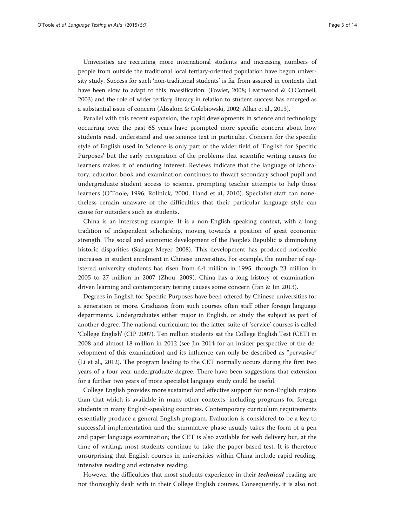Universities are recruiting more international students and increasing numbers of people from outside the traditional local tertiary-oriented population have begun university study. Success for such 'non-traditional students' is far from assured in contexts that have been slow to adapt to this 'massification' (Fowler, [2008](#page-12-0); Leathwood & O'Connell, [2003\)](#page-13-0) and the role of wider tertiary literacy in relation to student success has emerged as a substantial issue of concern (Absalom & Golebiowski, [2002;](#page-12-0) Allan et al., [2013](#page-12-0)).

Parallel with this recent expansion, the rapid developments in science and technology occurring over the past 65 years have prompted more specific concern about how students read, understand and use science text in particular. Concern for the specific style of English used in Science is only part of the wider field of 'English for Specific Purposes' but the early recognition of the problems that scientific writing causes for learners makes it of enduring interest. Reviews indicate that the language of laboratory, educator, book and examination continues to thwart secondary school pupil and undergraduate student access to science, prompting teacher attempts to help those learners (O'Toole, [1996;](#page-13-0) Rollnick, [2000](#page-13-0), Hand et al, [2010\)](#page-12-0). Specialist staff can nonetheless remain unaware of the difficulties that their particular language style can cause for outsiders such as students.

China is an interesting example. It is a non-English speaking context, with a long tradition of independent scholarship, moving towards a position of great economic strength. The social and economic development of the People's Republic is diminishing historic disparities (Salager-Meyer [2008\)](#page-13-0). This development has produced noticeable increases in student enrolment in Chinese universities. For example, the number of registered university students has risen from 6.4 million in 1995, through 23 million in 2005 to 27 million in 2007 (Zhou, [2009\)](#page-13-0). China has a long history of examinationdriven learning and contemporary testing causes some concern (Fan & Jin [2013](#page-12-0)).

Degrees in English for Specific Purposes have been offered by Chinese universities for a generation or more. Graduates from such courses often staff other foreign language departments. Undergraduates either major in English, or study the subject as part of another degree. The national curriculum for the latter suite of 'service' courses is called 'College English' (CIP [2007](#page-12-0)). Ten million students sat the College English Test (CET) in 2008 and almost 18 million in 2012 (see [Jin 2014](#page-12-0) for an insider perspective of the development of this examination) and its influence can only be described as "pervasive" (Li et al., [2012\)](#page-13-0). The program leading to the CET normally occurs during the first two years of a four year undergraduate degree. There have been suggestions that extension for a further two years of more specialist language study could be useful.

College English provides more sustained and effective support for non-English majors than that which is available in many other contexts, including programs for foreign students in many English-speaking countries. Contemporary curriculum requirements essentially produce a general English program. Evaluation is considered to be a key to successful implementation and the summative phase usually takes the form of a pen and paper language examination; the CET is also available for web delivery but, at the time of writing, most students continue to take the paper-based test. It is therefore unsurprising that English courses in universities within China include rapid reading, intensive reading and extensive reading.

However, the difficulties that most students experience in their *technical* reading are not thoroughly dealt with in their College English courses. Consequently, it is also not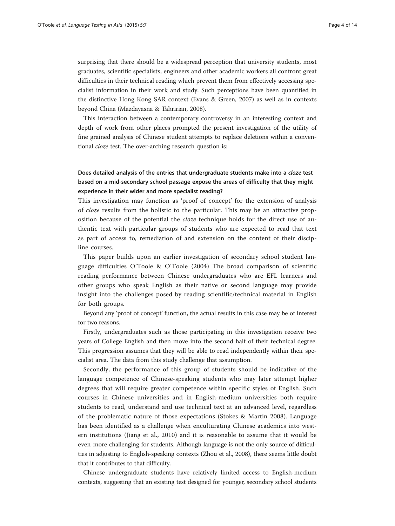surprising that there should be a widespread perception that university students, most graduates, scientific specialists, engineers and other academic workers all confront great difficulties in their technical reading which prevent them from effectively accessing specialist information in their work and study. Such perceptions have been quantified in the distinctive Hong Kong SAR context (Evans & Green, [2007](#page-12-0)) as well as in contexts beyond China (Mazdayasna & Tahririan, [2008\)](#page-13-0).

This interaction between a contemporary controversy in an interesting context and depth of work from other places prompted the present investigation of the utility of fine grained analysis of Chinese student attempts to replace deletions within a conventional cloze test. The over-arching research question is:

## Does detailed analysis of the entries that undergraduate students make into a cloze test based on a mid-secondary school passage expose the areas of difficulty that they might experience in their wider and more specialist reading?

This investigation may function as 'proof of concept' for the extension of analysis of cloze results from the holistic to the particular. This may be an attractive proposition because of the potential the cloze technique holds for the direct use of authentic text with particular groups of students who are expected to read that text as part of access to, remediation of and extension on the content of their discipline courses.

This paper builds upon an earlier investigation of secondary school student language difficulties O'Toole & O'Toole ([2004](#page-13-0)) The broad comparison of scientific reading performance between Chinese undergraduates who are EFL learners and other groups who speak English as their native or second language may provide insight into the challenges posed by reading scientific/technical material in English for both groups.

Beyond any 'proof of concept' function, the actual results in this case may be of interest for two reasons.

Firstly, undergraduates such as those participating in this investigation receive two years of College English and then move into the second half of their technical degree. This progression assumes that they will be able to read independently within their specialist area. The data from this study challenge that assumption.

Secondly, the performance of this group of students should be indicative of the language competence of Chinese-speaking students who may later attempt higher degrees that will require greater competence within specific styles of English. Such courses in Chinese universities and in English-medium universities both require students to read, understand and use technical text at an advanced level, regardless of the problematic nature of those expectations (Stokes & Martin [2008\)](#page-13-0). Language has been identified as a challenge when enculturating Chinese academics into western institutions (Jiang et al., [2010\)](#page-12-0) and it is reasonable to assume that it would be even more challenging for students. Although language is not the only source of difficulties in adjusting to English-speaking contexts (Zhou et al., [2008](#page-13-0)), there seems little doubt that it contributes to that difficulty.

Chinese undergraduate students have relatively limited access to English-medium contexts, suggesting that an existing test designed for younger, secondary school students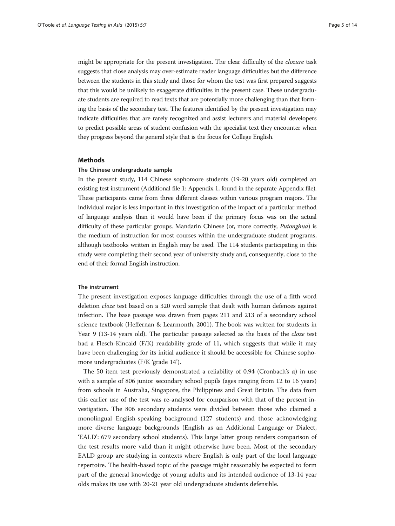might be appropriate for the present investigation. The clear difficulty of the clozure task suggests that close analysis may over-estimate reader language difficulties but the difference between the students in this study and those for whom the test was first prepared suggests that this would be unlikely to exaggerate difficulties in the present case. These undergraduate students are required to read texts that are potentially more challenging than that forming the basis of the secondary test. The features identified by the present investigation may indicate difficulties that are rarely recognized and assist lecturers and material developers to predict possible areas of student confusion with the specialist text they encounter when they progress beyond the general style that is the focus for College English.

## Methods

#### The Chinese undergraduate sample

In the present study, 114 Chinese sophomore students (19-20 years old) completed an existing test instrument (Additional file [1:](#page-12-0) Appendix 1, found in the separate Appendix file). These participants came from three different classes within various program majors. The individual major is less important in this investigation of the impact of a particular method of language analysis than it would have been if the primary focus was on the actual difficulty of these particular groups. Mandarin Chinese (or, more correctly, *Putonghua*) is the medium of instruction for most courses within the undergraduate student programs, although textbooks written in English may be used. The 114 students participating in this study were completing their second year of university study and, consequently, close to the end of their formal English instruction.

## The instrument

The present investigation exposes language difficulties through the use of a fifth word deletion cloze test based on a 320 word sample that dealt with human defences against infection. The base passage was drawn from pages 211 and 213 of a secondary school science textbook (Heffernan & Learmonth, [2001](#page-12-0)). The book was written for students in Year 9 (13-14 years old). The particular passage selected as the basis of the *cloze* test had a Flesch-Kincaid (F/K) readability grade of 11, which suggests that while it may have been challenging for its initial audience it should be accessible for Chinese sophomore undergraduates (F/K 'grade 14').

The 50 item test previously demonstrated a reliability of 0.94 (Cronbach's  $\alpha$ ) in use with a sample of 806 junior secondary school pupils (ages ranging from 12 to 16 years) from schools in Australia, Singapore, the Philippines and Great Britain. The data from this earlier use of the test was re-analysed for comparison with that of the present investigation. The 806 secondary students were divided between those who claimed a monolingual English-speaking background (127 students) and those acknowledging more diverse language backgrounds (English as an Additional Language or Dialect, 'EALD': 679 secondary school students). This large latter group renders comparison of the test results more valid than it might otherwise have been. Most of the secondary EALD group are studying in contexts where English is only part of the local language repertoire. The health-based topic of the passage might reasonably be expected to form part of the general knowledge of young adults and its intended audience of 13-14 year olds makes its use with 20-21 year old undergraduate students defensible.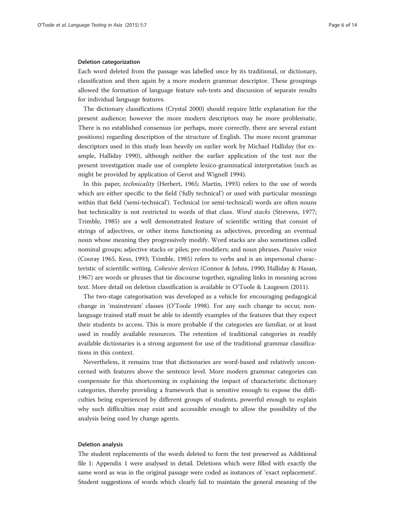#### Deletion categorization

Each word deleted from the passage was labelled once by its traditional, or dictionary, classification and then again by a more modern grammar descriptor. These groupings allowed the formation of language feature sub-tests and discussion of separate results for individual language features.

The dictionary classifications (Crystal [2000](#page-12-0)) should require little explanation for the present audience; however the more modern descriptors may be more problematic. There is no established consensus (or perhaps, more correctly, there are several extant positions) regarding description of the structure of English. The more recent grammar descriptors used in this study lean heavily on earlier work by Michael Halliday (for example, Halliday [1990](#page-12-0)), although neither the earlier application of the test nor the present investigation made use of complete lexico-grammatical interpretation (such as might be provided by application of Gerot and Wignell [1994](#page-12-0)).

In this paper, technicality (Herbert, [1965](#page-12-0); Martin, [1993](#page-13-0)) refers to the use of words which are either specific to the field ('fully technical') or used with particular meanings within that field ('semi-technical'). Technical (or semi-technical) words are often nouns but technicality is not restricted to words of that class. Word stacks (Strevens, [1977](#page-13-0); Trimble, [1985](#page-13-0)) are a well demonstrated feature of scientific writing that consist of strings of adjectives, or other items functioning as adjectives, preceding an eventual noun whose meaning they progressively modify. Word stacks are also sometimes called nominal groups; adjective stacks or piles; pre-modifiers; and noun phrases. Passive voice (Cooray [1965](#page-12-0), Kess, [1993](#page-12-0); Trimble, [1985](#page-13-0)) refers to verbs and is an impersonal characteristic of scientific writing. Cohesive devices (Connor & Johns, [1990;](#page-12-0) Halliday & Hasan, [1967](#page-12-0)) are words or phrases that tie discourse together, signaling links in meaning across text. More detail on deletion classification is available in O'Toole & Laugesen ([2011](#page-13-0)).

The two-stage categorisation was developed as a vehicle for encouraging pedagogical change in 'mainstream' classes (O'Toole [1998](#page-13-0)). For any such change to occur, nonlanguage trained staff must be able to identify examples of the features that they expect their students to access. This is more probable if the categories are familiar, or at least used in readily available resources. The retention of traditional categories in readily available dictionaries is a strong argument for use of the traditional grammar classifications in this context.

Nevertheless, it remains true that dictionaries are word-based and relatively unconcerned with features above the sentence level. More modern grammar categories can compensate for this shortcoming in explaining the impact of characteristic dictionary categories, thereby providing a framework that is sensitive enough to expose the difficulties being experienced by different groups of students, powerful enough to explain why such difficulties may exist and accessible enough to allow the possibility of the analysis being used by change agents.

#### Deletion analysis

The student replacements of the words deleted to form the test preserved as Additional file [1](#page-12-0): Appendix 1 were analysed in detail. Deletions which were filled with exactly the same word as was in the original passage were coded as instances of 'exact replacement'. Student suggestions of words which clearly fail to maintain the general meaning of the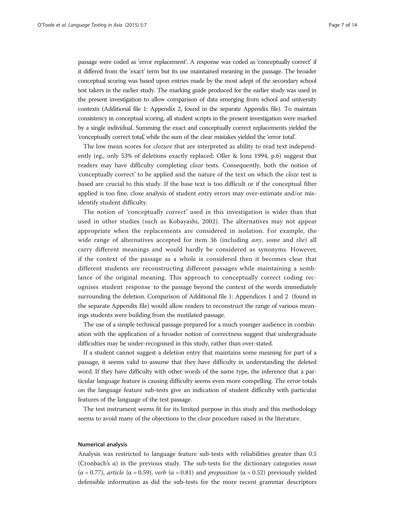passage were coded as 'error replacement'. A response was coded as 'conceptually correct' if it differed from the 'exact' term but its use maintained meaning in the passage. The broader conceptual scoring was based upon entries made by the most adept of the secondary school test takers in the earlier study. The marking guide produced for the earlier study was used in the present investigation to allow comparison of data emerging from school and university contexts (Additional file [1:](#page-12-0) Appendix 2, found in the separate Appendix file). To maintain consistency in conceptual scoring, all student scripts in the present investigation were marked by a single individual. Summing the exact and conceptually correct replacements yielded the 'conceptually correct total', while the sum of the clear mistakes yielded the 'error total'.

The low mean scores for *clozure* that are interpreted as ability to read text independently (eg., only 53% of deletions exactly replaced: Oller & Jonz [1994](#page-13-0), p.6) suggest that readers may have difficulty completing cloze tests. Consequently, both the notion of 'conceptually correct' to be applied and the nature of the text on which the cloze test is based are crucial to this study. If the base text is too difficult or if the conceptual filter applied is too fine, close analysis of student entry errors may over-estimate and/or misidentify student difficulty.

The notion of 'conceptually correct' used in this investigation is wider than that used in other studies (such as Kobayashi, [2002](#page-12-0)). The alternatives may not appear appropriate when the replacements are considered in isolation. For example, the wide range of alternatives accepted for item 36 (including  $any$ , some and the) all carry different meanings and would hardly be considered as synonyms. However, if the context of the passage as a whole is considered then it becomes clear that different students are reconstructing different passages while maintaining a semblance of the original meaning. This approach to conceptually correct coding recognises student response to the passage beyond the context of the words immediately surrounding the deletion. Comparison of Additional file [1:](#page-12-0) Appendices 1 and 2 (found in the separate Appendix file) would allow readers to reconstruct the range of various meanings students were building from the mutilated passage.

The use of a simple technical passage prepared for a much younger audience in combination with the application of a broader notion of correctness suggest that undergraduate difficulties may be under-recognised in this study, rather than over-stated.

If a student cannot suggest a deletion entry that maintains some meaning for part of a passage, it seems valid to assume that they have difficulty in understanding the deleted word. If they have difficulty with other words of the same type, the inference that a particular language feature is causing difficulty seems even more compelling. The error totals on the language feature sub-tests give an indication of student difficulty with particular features of the language of the test passage.

The test instrument seems fit for its limited purpose in this study and this methodology seems to avoid many of the objections to the cloze procedure raised in the literature.

#### Numerical analysis

Analysis was restricted to language feature sub-tests with reliabilities greater than 0.5 (Cronbach's  $\alpha$ ) in the previous study. The sub-tests for the dictionary categories *noun* ( $\alpha$  = 0.77), *article* ( $\alpha$  = 0.59), *verb* ( $\alpha$  = 0.81) and *preposition* ( $\alpha$  = 0.52) previously yielded defensible information as did the sub-tests for the more recent grammar descriptors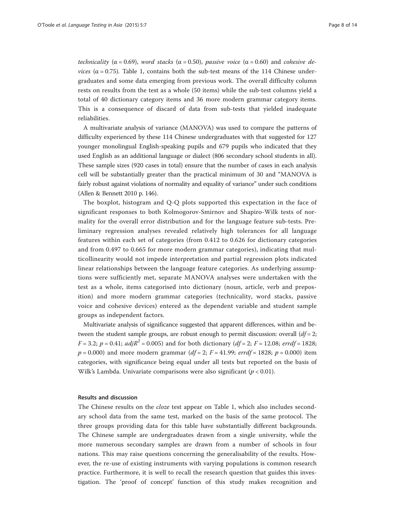technicality ( $\alpha$  = 0.69), word stacks ( $\alpha$  = 0.50), passive voice ( $\alpha$  = 0.60) and cohesive de*vices* ( $\alpha$  = 0.75). Table [1,](#page-8-0) contains both the sub-test means of the 114 Chinese undergraduates and some data emerging from previous work. The overall difficulty column rests on results from the test as a whole (50 items) while the sub-test columns yield a total of 40 dictionary category items and 36 more modern grammar category items. This is a consequence of discard of data from sub-tests that yielded inadequate reliabilities.

A multivariate analysis of variance (MANOVA) was used to compare the patterns of difficulty experienced by these 114 Chinese undergraduates with that suggested for 127 younger monolingual English-speaking pupils and 679 pupils who indicated that they used English as an additional language or dialect (806 secondary school students in all). These sample sizes (920 cases in total) ensure that the number of cases in each analysis cell will be substantially greater than the practical minimum of 30 and "MANOVA is fairly robust against violations of normality and equality of variance" under such conditions (Allen & Bennett [2010](#page-12-0) p. 146).

The boxplot, histogram and Q-Q plots supported this expectation in the face of significant responses to both Kolmogorov-Smirnov and Shapiro-Wilk tests of normality for the overall error distribution and for the language feature sub-tests. Preliminary regression analyses revealed relatively high tolerances for all language features within each set of categories (from 0.412 to 0.626 for dictionary categories and from 0.497 to 0.665 for more modern grammar categories), indicating that multicollinearity would not impede interpretation and partial regression plots indicated linear relationships between the language feature categories. As underlying assumptions were sufficiently met, separate MANOVA analyses were undertaken with the test as a whole, items categorised into dictionary (noun, article, verb and preposition) and more modern grammar categories (technicality, word stacks, passive voice and cohesive devices) entered as the dependent variable and student sample groups as independent factors.

Multivariate analysis of significance suggested that apparent differences, within and between the student sample groups, are robust enough to permit discussion: overall  $(df = 2;$  $F = 3.2$ ;  $p = 0.41$ ;  $adjR^2 = 0.005$ ) and for both dictionary ( $df = 2$ ;  $F = 12.08$ ; errdf = 1828;  $p = 0.000$ ) and more modern grammar ( $df = 2$ ;  $F = 41.99$ ;  $erdf = 1828$ ;  $p = 0.000$ ) item categories, with significance being equal under all tests but reported on the basis of Wilk's Lambda. Univariate comparisons were also significant ( $p < 0.01$ ).

#### Results and discussion

The Chinese results on the cloze test appear on Table [1,](#page-8-0) which also includes secondary school data from the same test, marked on the basis of the same protocol. The three groups providing data for this table have substantially different backgrounds. The Chinese sample are undergraduates drawn from a single university, while the more numerous secondary samples are drawn from a number of schools in four nations. This may raise questions concerning the generalisability of the results. However, the re-use of existing instruments with varying populations is common research practice. Furthermore, it is well to recall the research question that guides this investigation. The 'proof of concept' function of this study makes recognition and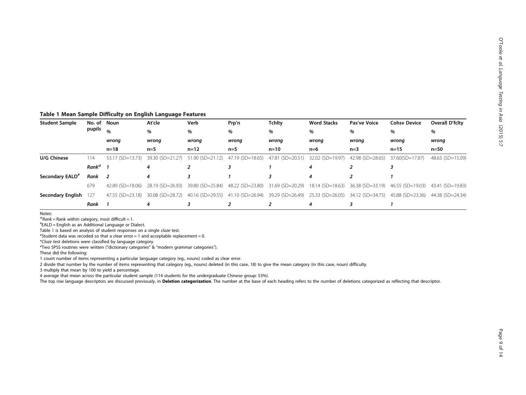#### <span id="page-8-0"></span>Table 1 Mean Sample Difficulty on English Language Features

| <b>Student Sample</b>       | No. of Noun<br>pupils   |                    | At'cle           | Verb             | Prp'n            | <b>Tchltv</b>                                      | <b>Word Stacks</b> | Pas've Voice                                       | <b>Cohsy Device</b>               | Overall D'fclty  |
|-----------------------------|-------------------------|--------------------|------------------|------------------|------------------|----------------------------------------------------|--------------------|----------------------------------------------------|-----------------------------------|------------------|
|                             |                         | $\frac{a}{2}$      | %                | %                | %                | %                                                  | %                  | %                                                  | %                                 | %                |
|                             |                         | wrong              | wrong            | wrong            | wrong            | wrong                                              | wrong              | wrong                                              | wrong                             | wrong            |
|                             |                         | $n=18$             | $n=5$            | $n = 12$         | $n=5$            | n=10                                               | n=6                | $n=3$                                              | $n = 15$                          | n=50             |
| <b>U/G Chinese</b>          | 114                     | 53.17 (SD=13.73)   | 39.30 (SD=21.27) | 51.90 (SD=21.12) | 47.19 (SD=18.65) | 47.81 (SD=20.51)                                   | 32.02 (SD=19.97)   | 42.98 (SD=28.65)                                   | 37.60(SD=17.87)                   | 48.63 (SD=15.09) |
|                             | $Rank^{\circledcirc}$ 1 |                    | 4                |                  |                  |                                                    |                    |                                                    |                                   |                  |
| Secondary EALD <sup>#</sup> | Rank 2                  |                    | 4                |                  |                  |                                                    | 4                  |                                                    |                                   |                  |
|                             | 679                     | $42.89$ (SD=18.06) | 28.19 (SD=26.93) | 39.80 (SD=25.84) |                  | 48.22 (SD=23.80) 31.69 (SD=20.29) 18.14 (SD=18.63) |                    | 36.38 (SD=33.19) 46.55 (SD=19.03) 43.41 (SD=19.83) |                                   |                  |
| Secondary English           | 127                     | 47.55 (SD=23.18)   | 30.08 (SD=28.72) | 40.16 (SD=29.55) | 41.10 (SD=26.94) | 39.29 (SD=26.49)                                   | 25.33 (SD=26.05)   | 34.12 (SD=34.75)                                   | 45.88 (SD=23.36) 44.38 (SD=24.34) |                  |
|                             | Rank                    |                    | 4                |                  |                  |                                                    | 4                  |                                                    |                                   |                  |

Notes:

<sup>@</sup>Rank = Rank within category, most difficult = 1.

<sup>@</sup>*Rank* = Rank within category, most difficult = 1.<br>#EALD = English as an Additional Language or Dialect.

Table 1 is based on analysis of student responses on a single cloze test.

\*Student data was recoded so that a clear error = 1 and acceptable replacement = 0.<br>\*Cloze test deletions were classified by language category.

\*Cloze test deletions were classified by language category. \*Two SPSS routines were written ("dictionary categories" & "modern grammar categories").

These did the following:

1 count number of items representing a particular language category (eg., nouns) coded as clear error.

2 divide that number by the number of items representing that category (eg., nouns) deleted (in this case, 18) to give the mean category (in this case, noun) difficulty.

3 multiply that mean by 100 to yield a percentage.

4 average that mean across the particular student sample (114 students for the undergraduate Chinese group: 53%).

The top row language descriptors are discussed previously, in Deletion categorization. The number at the base of each heading refers to the number of deletions categorized as reflecting that descriptor.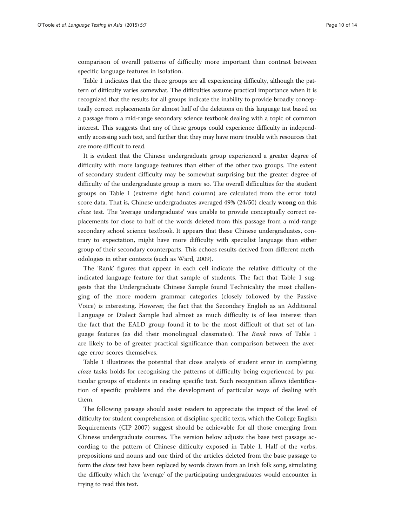comparison of overall patterns of difficulty more important than contrast between specific language features in isolation.

Table [1](#page-8-0) indicates that the three groups are all experiencing difficulty, although the pattern of difficulty varies somewhat. The difficulties assume practical importance when it is recognized that the results for all groups indicate the inability to provide broadly conceptually correct replacements for almost half of the deletions on this language test based on a passage from a mid-range secondary science textbook dealing with a topic of common interest. This suggests that any of these groups could experience difficulty in independently accessing such text, and further that they may have more trouble with resources that are more difficult to read.

It is evident that the Chinese undergraduate group experienced a greater degree of difficulty with more language features than either of the other two groups. The extent of secondary student difficulty may be somewhat surprising but the greater degree of difficulty of the undergraduate group is more so. The overall difficulties for the student groups on Table [1](#page-8-0) (extreme right hand column) are calculated from the error total score data. That is, Chinese undergraduates averaged 49% (24/50) clearly wrong on this cloze test. The 'average undergraduate' was unable to provide conceptually correct replacements for close to half of the words deleted from this passage from a mid-range secondary school science textbook. It appears that these Chinese undergraduates, contrary to expectation, might have more difficulty with specialist language than either group of their secondary counterparts. This echoes results derived from different methodologies in other contexts (such as Ward, [2009](#page-13-0)).

The 'Rank' figures that appear in each cell indicate the relative difficulty of the indicated language feature for that sample of students. The fact that Table [1](#page-8-0) suggests that the Undergraduate Chinese Sample found Technicality the most challenging of the more modern grammar categories (closely followed by the Passive Voice) is interesting. However, the fact that the Secondary English as an Additional Language or Dialect Sample had almost as much difficulty is of less interest than the fact that the EALD group found it to be the most difficult of that set of language features (as did their monolingual classmates). The Rank rows of Table [1](#page-8-0) are likely to be of greater practical significance than comparison between the average error scores themselves.

Table [1](#page-8-0) illustrates the potential that close analysis of student error in completing cloze tasks holds for recognising the patterns of difficulty being experienced by particular groups of students in reading specific text. Such recognition allows identification of specific problems and the development of particular ways of dealing with them.

The following passage should assist readers to appreciate the impact of the level of difficulty for student comprehension of discipline-specific texts, which the College English Requirements (CIP [2007\)](#page-12-0) suggest should be achievable for all those emerging from Chinese undergraduate courses. The version below adjusts the base text passage according to the pattern of Chinese difficulty exposed in Table [1.](#page-8-0) Half of the verbs, prepositions and nouns and one third of the articles deleted from the base passage to form the cloze test have been replaced by words drawn from an Irish folk song, simulating the difficulty which the 'average' of the participating undergraduates would encounter in trying to read this text.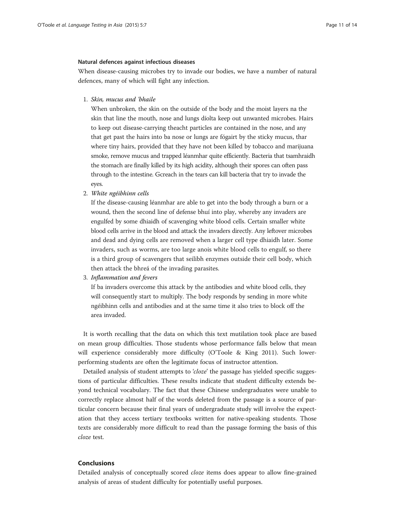#### Natural defences against infectious diseases

When disease-causing microbes try to invade our bodies, we have a number of natural defences, many of which will fight any infection.

1. Skin, mucus and 'bhaile

When unbroken, the skin on the outside of the body and the moist layers na the skin that line the mouth, nose and lungs díolta keep out unwanted microbes. Hairs to keep out disease-carrying theacht particles are contained in the nose, and any that get past the hairs into ba nose or lungs are fógairt by the sticky mucus, thar where tiny hairs, provided that they have not been killed by tobacco and marijuana smoke, remove mucus and trapped léanmhar quite efficiently. Bacteria that tsamhraidh the stomach are finally killed by its high acidity, although their spores can often pass through to the intestine. Gcreach in the tears can kill bacteria that try to invade the eyes.

2. White ngéibhinn cells

If the disease-causing léanmhar are able to get into the body through a burn or a wound, then the second line of defense bhuí into play, whereby any invaders are engulfed by some dhiaidh of scavenging white blood cells. Certain smaller white blood cells arrive in the blood and attack the invaders directly. Any leftover microbes and dead and dying cells are removed when a larger cell type dhiaidh later. Some invaders, such as worms, are too large anois white blood cells to engulf, so there is a third group of scavengers that seilibh enzymes outside their cell body, which then attack the bhreá of the invading parasites.

3. Inflammation and fevers

If ba invaders overcome this attack by the antibodies and white blood cells, they will consequently start to multiply. The body responds by sending in more white ngéibhinn cells and antibodies and at the same time it also tries to block off the area invaded.

It is worth recalling that the data on which this text mutilation took place are based on mean group difficulties. Those students whose performance falls below that mean will experience considerably more difficulty (O'Toole & King [2011](#page-13-0)). Such lowerperforming students are often the legitimate focus of instructor attention.

Detailed analysis of student attempts to 'cloze' the passage has yielded specific suggestions of particular difficulties. These results indicate that student difficulty extends beyond technical vocabulary. The fact that these Chinese undergraduates were unable to correctly replace almost half of the words deleted from the passage is a source of particular concern because their final years of undergraduate study will involve the expectation that they access tertiary textbooks written for native-speaking students. Those texts are considerably more difficult to read than the passage forming the basis of this cloze test.

## Conclusions

Detailed analysis of conceptually scored cloze items does appear to allow fine-grained analysis of areas of student difficulty for potentially useful purposes.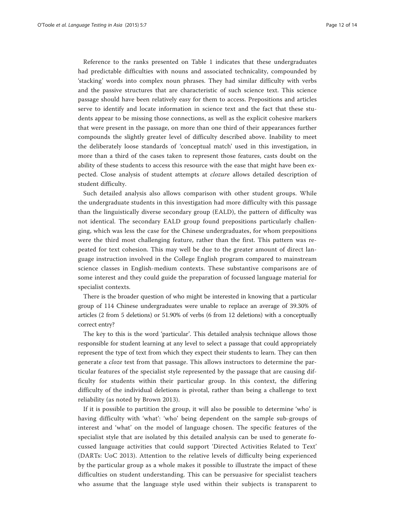Reference to the ranks presented on Table [1](#page-8-0) indicates that these undergraduates had predictable difficulties with nouns and associated technicality, compounded by 'stacking' words into complex noun phrases. They had similar difficulty with verbs and the passive structures that are characteristic of such science text. This science passage should have been relatively easy for them to access. Prepositions and articles serve to identify and locate information in science text and the fact that these students appear to be missing those connections, as well as the explicit cohesive markers that were present in the passage, on more than one third of their appearances further compounds the slightly greater level of difficulty described above. Inability to meet the deliberately loose standards of 'conceptual match' used in this investigation, in more than a third of the cases taken to represent those features, casts doubt on the ability of these students to access this resource with the ease that might have been expected. Close analysis of student attempts at clozure allows detailed description of student difficulty.

Such detailed analysis also allows comparison with other student groups. While the undergraduate students in this investigation had more difficulty with this passage than the linguistically diverse secondary group (EALD), the pattern of difficulty was not identical. The secondary EALD group found prepositions particularly challenging, which was less the case for the Chinese undergraduates, for whom prepositions were the third most challenging feature, rather than the first. This pattern was repeated for text cohesion. This may well be due to the greater amount of direct language instruction involved in the College English program compared to mainstream science classes in English-medium contexts. These substantive comparisons are of some interest and they could guide the preparation of focussed language material for specialist contexts.

There is the broader question of who might be interested in knowing that a particular group of 114 Chinese undergraduates were unable to replace an average of 39.30% of articles (2 from 5 deletions) or 51.90% of verbs (6 from 12 deletions) with a conceptually correct entry?

The key to this is the word 'particular'. This detailed analysis technique allows those responsible for student learning at any level to select a passage that could appropriately represent the type of text from which they expect their students to learn. They can then generate a cloze test from that passage. This allows instructors to determine the particular features of the specialist style represented by the passage that are causing difficulty for students within their particular group. In this context, the differing difficulty of the individual deletions is pivotal, rather than being a challenge to text reliability (as noted by Brown [2013\)](#page-12-0).

If it is possible to partition the group, it will also be possible to determine 'who' is having difficulty with 'what': 'who' being dependent on the sample sub-groups of interest and 'what' on the model of language chosen. The specific features of the specialist style that are isolated by this detailed analysis can be used to generate focussed language activities that could support 'Directed Activities Related to Text' (DARTs: UoC [2013\)](#page-13-0). Attention to the relative levels of difficulty being experienced by the particular group as a whole makes it possible to illustrate the impact of these difficulties on student understanding. This can be persuasive for specialist teachers who assume that the language style used within their subjects is transparent to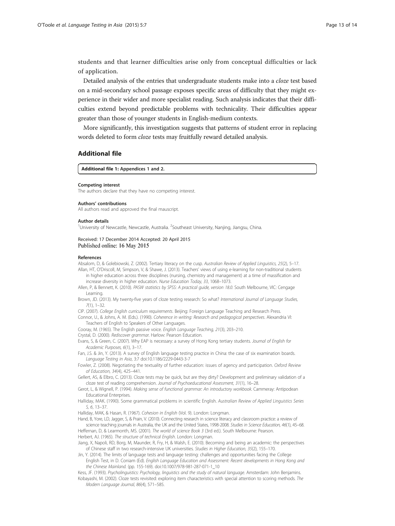<span id="page-12-0"></span>students and that learner difficulties arise only from conceptual difficulties or lack of application.

Detailed analysis of the entries that undergraduate students make into a cloze test based on a mid-secondary school passage exposes specific areas of difficulty that they might experience in their wider and more specialist reading. Such analysis indicates that their difficulties extend beyond predictable problems with technicality. Their difficulties appear greater than those of younger students in English-medium contexts.

More significantly, this investigation suggests that patterns of student error in replacing words deleted to form cloze tests may fruitfully reward detailed analysis.

#### Additional file

#### [Additional file 1:](http://www.languagetestingasia.com/content/supplementary/s40468-015-0015-3-s1.pdf) Appendices 1 and 2.

#### Competing interest

The authors declare that they have no competing interest.

#### Authors' contributions

All authors read and approved the final mauscript.

#### Author details

<sup>1</sup>University of Newcastle, Newcastle, Australia. <sup>2</sup>Southeast University, Nanjing, Jiangsu, China.

#### Received: 17 December 2014 Accepted: 20 April 2015 Published online: 16 May 2015

#### References

Absalom, D, & Golebiowski, Z. (2002). Tertiary literacy on the cusp. Australian Review of Applied Linguistics, 25(2), 5–17.

- Allan, HT, O'Driscoll, M, Simpson, V, & Shawe, J. (2013). Teachers' views of using e-learning for non-traditional students in higher education across three disciplines (nursing, chemistry and management) at a time of massification and increase diversity in higher education. Nurse Education Today, 33, 1068–1073.
- Allen, P, & Bennett, K. (2010). PASW statistics by SPSS: A practical guide, version 18.0. South Melbourne, VIC: Cengage Learning.
- Brown, JD. (2013). My twenty-five years of cloze testing research: So what? International Journal of Language Studies, 7(1), 1–32.

CIP. (2007). College English curriculum requirements. Beijing: Foreign Language Teaching and Research Press.

Connor, U., & Johns, A. M. (Eds.). (1990). Coherence in writing: Research and pedagogical perspectives. Alexandria VI: Teachers of English to Speakers of Other Languages.

Cooray, M. (1965). The English passive voice. English Language Teaching, 21(3), 203–210.

Crystal, D. (2000). Rediscover grammar. Harlow: Pearson Education.

Evans, S, & Green, C. (2007). Why EAP is necessary: a survey of Hong Kong tertiary students. Journal of English for Academic Purposes, 6(1), 3–17.

Fan, J.S. & Jin, Y. (2013). A survey of English language testing practice in China: the case of six examination boards. Language Testing in Asia, 3:7 doi:10.1186/2229-0443-3-7

- Fowler, Z. (2008). Negotiating the textuality of further education: issues of agency and participation. Oxford Review of Education, 34(4), 425–441.
- Gellert, AS, & Elbro, C. (2013). Cloze tests may be quick, but are they dirty? Development and preliminary validation of a cloze test of reading comprehension. Journal of Psychoeducational Assessment, 31(1), 16–28.
- Gerot, L, & Wignell, P. (1994). Making sense of functional grammar: An introductory workbook. Cammeray: Antipodean Educational Enterprises.
- Halliday, MAK. (1990). Some grammatical problems in scientific English. Australian Review of Applied Linguistics Series S, 6, 13–37.

Halliday, MAK, & Hasan, R. (1967). Cohesion in English (Vol. 9). London: Longman.

Hand, B, Yore, LD, Jagger, S, & Prain, V. (2010). Connecting research in science literacy and classroom practice: a review of science teaching journals in Australia, the UK and the United States, 1998-2008. Studies in Science Education, 46(1), 45-68. Heffernan, D, & Learmonth, MS. (2001). The world of science Book 3 (3rd ed.). South Melbourne: Pearson. Herbert, AJ. (1965). The structure of technical English. London: Longman.

Jiang, X, Napoli, RD, Borg, M, Maunder, R, Fry, H, & Walsh, E. (2010). Becoming and being an academic: the perspectives of Chinese staff in two research-intensive UK universities. Studies in Higher Education, 35(2), 155–170.

Jin, Y. (2014). The limits of language tests and language testing: challenges and opportunities facing the College English Test, in D. Coniam (Ed). English Language Education and Assessment: Recent developments in Hong Kong and the Chinese Mainland. (pp. 155-169). doi:10.1007/978-981-287-071-1\_10

Kess, JF. (1993). Psycholinguistics: Psychology, linguistics and the study of natural language. Amsterdam: John Benjamins. Kobayashi, M. (2002). Cloze tests revisited: exploring item characteristics with special attention to scoring methods. The Modern Language Journal, 86(4), 571–585.